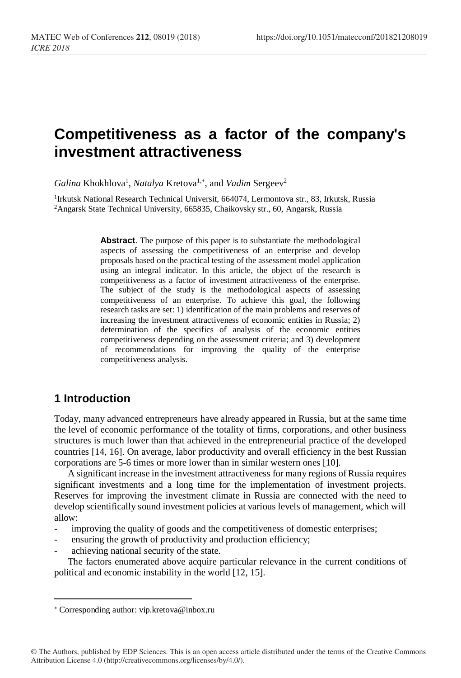# **Competitiveness as a factor of the company's investment attractiveness**

Galina Khokhlova<sup>1</sup>, *Natalya* Kretova<sup>1,\*</sup>, and *Vadim* Sergeev<sup>2</sup>

<sup>1</sup>Irkutsk National Research Technical Universit, 664074, Lermontova str., 83, Irkutsk, Russia <sup>2</sup>Angarsk State Technical University, 665835, Chaikovsky str., 60, Angarsk, Russia

> **Abstract**. The purpose of this paper is to substantiate the methodological aspects of assessing the competitiveness of an enterprise and develop proposals based on the practical testing of the assessment model application using an integral indicator. In this article, the object of the research is competitiveness as a factor of investment attractiveness of the enterprise. The subject of the study is the methodological aspects of assessing competitiveness of an enterprise. To achieve this goal, the following research tasks are set: 1) identification of the main problems and reserves of increasing the investment attractiveness of economic entities in Russia; 2) determination of the specifics of analysis of the economic entities competitiveness depending on the assessment criteria; and 3) development of recommendations for improving the quality of the enterprise competitiveness analysis.

# **1 Introduction**

 $\overline{\phantom{a}}$ 

Today, many advanced entrepreneurs have already appeared in Russia, but at the same time the level of economic performance of the totality of firms, corporations, and other business structures is much lower than that achieved in the entrepreneurial practice of the developed countries [14, 16]. On average, labor productivity and overall efficiency in the best Russian corporations are 5-6 times or more lower than in similar western ones [10].

A significant increase in the investment attractiveness for many regions of Russia requires significant investments and a long time for the implementation of investment projects. Reserves for improving the investment climate in Russia are connected with the need to develop scientifically sound investment policies at various levels of management, which will allow:

- improving the quality of goods and the competitiveness of domestic enterprises;
- ensuring the growth of productivity and production efficiency;
- achieving national security of the state.

The factors enumerated above acquire particular relevance in the current conditions of political and economic instability in the world [12, 15].

Corresponding author: vip.kretova@inbox.ru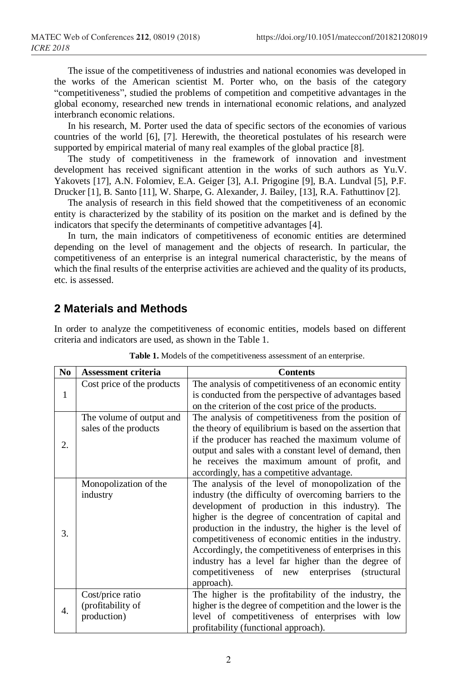The issue of the competitiveness of industries and national economies was developed in the works of the American scientist M. Porter who, on the basis of the category "competitiveness", studied the problems of competition and competitive advantages in the global economy, researched new trends in international economic relations, and analyzed interbranch economic relations.

In his research, M. Porter used the data of specific sectors of the economies of various countries of the world [6], [7]. Herewith, the theoretical postulates of his research were supported by empirical material of many real examples of the global practice [8].

The study of competitiveness in the framework of innovation and investment development has received significant attention in the works of such authors as Yu.V. Yakovets [17], A.N. Folomiev, E.A. Geiger [3], A.I. Prigogine [9], B.A. Lundval [5], P.F. Drucker [1], B. Santo [11], W. Sharpe, G. Alexander, J. Bailey, [13], R.A. Fathuttinov [2].

The analysis of research in this field showed that the competitiveness of an economic entity is characterized by the stability of its position on the market and is defined by the indicators that specify the determinants of competitive advantages [4].

In turn, the main indicators of competitiveness of economic entities are determined depending on the level of management and the objects of research. In particular, the competitiveness of an enterprise is an integral numerical characteristic, by the means of which the final results of the enterprise activities are achieved and the quality of its products, etc. is assessed.

#### **2 Materials and Methods**

In order to analyze the competitiveness of economic entities, models based on different criteria and indicators are used, as shown in the Table 1.

| N <sub>0</sub> | <b>Assessment criteria</b> | <b>Contents</b>                                           |  |  |
|----------------|----------------------------|-----------------------------------------------------------|--|--|
|                | Cost price of the products | The analysis of competitiveness of an economic entity     |  |  |
| 1              |                            | is conducted from the perspective of advantages based     |  |  |
|                |                            | on the criterion of the cost price of the products.       |  |  |
|                | The volume of output and   | The analysis of competitiveness from the position of      |  |  |
|                | sales of the products      | the theory of equilibrium is based on the assertion that  |  |  |
|                |                            | if the producer has reached the maximum volume of         |  |  |
| 2.             |                            | output and sales with a constant level of demand, then    |  |  |
|                |                            | he receives the maximum amount of profit, and             |  |  |
|                |                            | accordingly, has a competitive advantage.                 |  |  |
|                | Monopolization of the      | The analysis of the level of monopolization of the        |  |  |
|                | industry                   | industry (the difficulty of overcoming barriers to the    |  |  |
|                |                            | development of production in this industry). The          |  |  |
|                |                            | higher is the degree of concentration of capital and      |  |  |
|                |                            | production in the industry, the higher is the level of    |  |  |
| 3.             |                            | competitiveness of economic entities in the industry.     |  |  |
|                |                            | Accordingly, the competitiveness of enterprises in this   |  |  |
|                |                            | industry has a level far higher than the degree of        |  |  |
|                |                            | competitiveness of new enterprises<br><i>(structural)</i> |  |  |
|                |                            | approach).                                                |  |  |
|                | Cost/price ratio           | The higher is the profitability of the industry, the      |  |  |
|                | (profitability of          | higher is the degree of competition and the lower is the  |  |  |
| 4.             | production)                | level of competitiveness of enterprises with low          |  |  |
|                |                            | profitability (functional approach).                      |  |  |

| Table 1. Models of the competitiveness assessment of an enterprise. |  |  |  |
|---------------------------------------------------------------------|--|--|--|
|---------------------------------------------------------------------|--|--|--|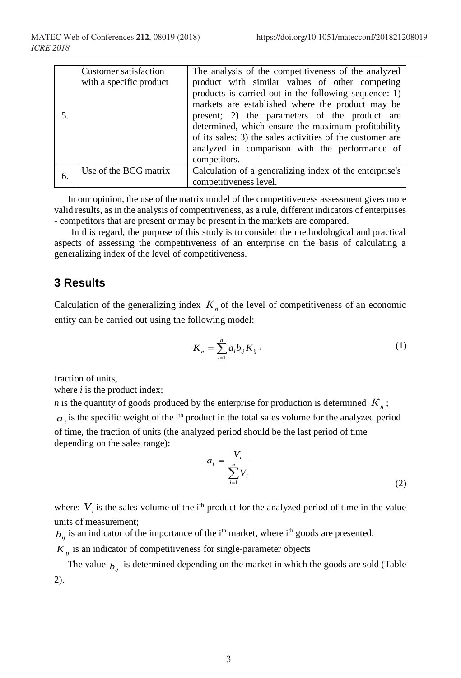| 5. | Customer satisfaction<br>with a specific product | The analysis of the competitiveness of the analyzed<br>product with similar values of other competing<br>products is carried out in the following sequence: 1)<br>markets are established where the product may be<br>present; 2) the parameters of the product are<br>determined, which ensure the maximum profitability<br>of its sales; 3) the sales activities of the customer are<br>analyzed in comparison with the performance of<br>competitors. |
|----|--------------------------------------------------|----------------------------------------------------------------------------------------------------------------------------------------------------------------------------------------------------------------------------------------------------------------------------------------------------------------------------------------------------------------------------------------------------------------------------------------------------------|
| 6. | Use of the BCG matrix                            | Calculation of a generalizing index of the enterprise's<br>competitiveness level.                                                                                                                                                                                                                                                                                                                                                                        |

In our opinion, the use of the matrix model of the competitiveness assessment gives more valid results, as in the analysis of competitiveness, as a rule, different indicators of enterprises - competitors that are present or may be present in the markets are compared.

In this regard, the purpose of this study is to consider the methodological and practical aspects of assessing the competitiveness of an enterprise on the basis of calculating a generalizing index of the level of competitiveness.

### **3 Results**

Calculation of the generalizing index  $K<sub>n</sub>$  of the level of competitiveness of an economic entity can be carried out using the following model:

$$
K_n = \sum_{i=1}^n a_i b_{ij} K_{ij} \,, \tag{1}
$$

fraction of units,

where *i* is the product index;

*n* is the quantity of goods produced by the enterprise for production is determined *К<sup>п</sup>* ;  $a_i$  is the specific weight of the i<sup>th</sup> product in the total sales volume for the analyzed period of time, the fraction of units (the analyzed period should be the last period of time depending on the sales range):

$$
a_i = \frac{V_i}{\sum_{i=1}^n V_i} \tag{2}
$$

where:  $V_i$  is the sales volume of the i<sup>th</sup> product for the analyzed period of time in the value units of measurement;

 $b_{ij}$  is an indicator of the importance of the i<sup>th</sup> market, where i<sup>th</sup> goods are presented;

 $K_{ij}$  is an indicator of competitiveness for single-parameter objects

The value  $b_{ij}$  is determined depending on the market in which the goods are sold (Table 2).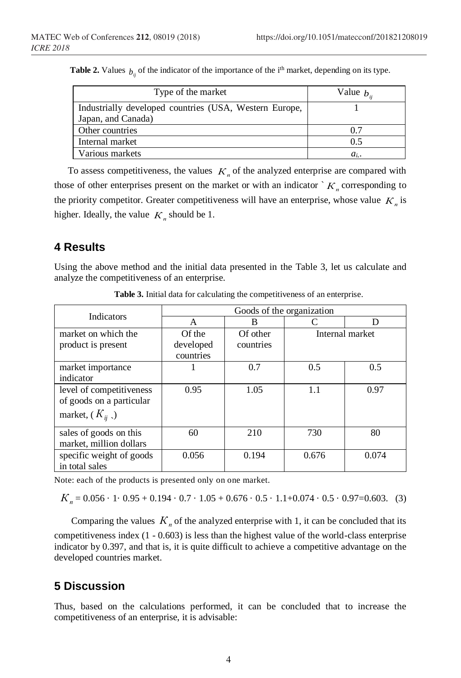| Type of the market                                     | Value $b_n$ |  |
|--------------------------------------------------------|-------------|--|
| Industrially developed countries (USA, Western Europe, |             |  |
| Japan, and Canada)                                     |             |  |
| Other countries                                        | 0.7         |  |
| Internal market                                        | 0.5         |  |
| Various markets                                        | $a_i$ .     |  |

**Table 2.** Values  $b_{ij}$  of the indicator of the importance of the i<sup>th</sup> market, depending on its type.

To assess competitiveness, the values  $K_n$  of the analyzed enterprise are compared with those of other enterprises present on the market or with an indicator  $K_n$  corresponding to the priority competitor. Greater competitiveness will have an enterprise, whose value  $K<sub>n</sub>$  is higher. Ideally, the value  $K_n$  should be 1.

## **4 Results**

Using the above method and the initial data presented in the Table 3, let us calculate and analyze the competitiveness of an enterprise.

| <b>Indicators</b>                                                          | Goods of the organization |           |                 |       |  |
|----------------------------------------------------------------------------|---------------------------|-----------|-----------------|-------|--|
|                                                                            | A                         | B         |                 | D     |  |
| market on which the                                                        | Of the                    | Of other  | Internal market |       |  |
| product is present                                                         | developed<br>countries    | countries |                 |       |  |
| market importance<br>indicator                                             |                           | 0.7       | 0.5             | 0.5   |  |
| level of competitiveness<br>of goods on a particular<br>market, $(K_{ii})$ | 0.95                      | 1.05      | 1.1             | 0.97  |  |
| sales of goods on this<br>market, million dollars                          | 60                        | 210       | 730             | 80    |  |
| specific weight of goods<br>in total sales                                 | 0.056                     | 0.194     | 0.676           | 0.074 |  |

**Table 3.** Initial data for calculating the competitiveness of an enterprise.

Note: each of the products is presented only on one market.

 $K_n = 0.056 \cdot 1 \cdot 0.95 + 0.194 \cdot 0.7 \cdot 1.05 + 0.676 \cdot 0.5 \cdot 1.1 + 0.074 \cdot 0.5 \cdot 0.97 = 0.603.$  (3)

Comparing the values  $K_n$  of the analyzed enterprise with 1, it can be concluded that its competitiveness index (1 - 0.603) is less than the highest value of the world-class enterprise indicator by 0.397, and that is, it is quite difficult to achieve a competitive advantage on the developed countries market.

# **5 Discussion**

Thus, based on the calculations performed, it can be concluded that to increase the competitiveness of an enterprise, it is advisable: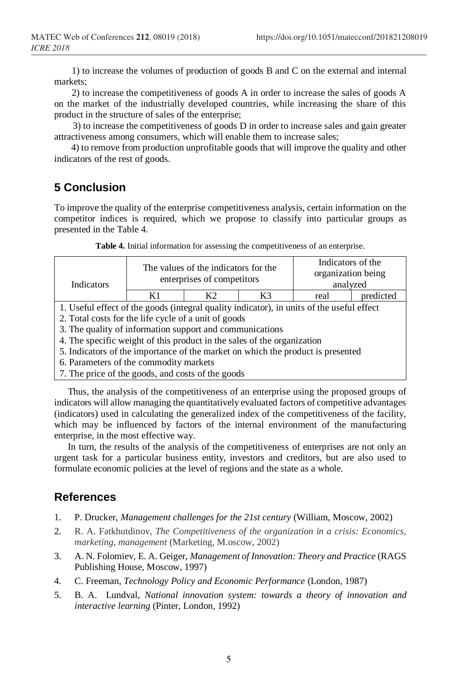1) to increase the volumes of production of goods B and C on the external and internal markets;

2) to increase the competitiveness of goods A in order to increase the sales of goods A on the market of the industrially developed countries, while increasing the share of this product in the structure of sales of the enterprise;

3) to increase the competitiveness of goods D in order to increase sales and gain greater attractiveness among consumers, which will enable them to increase sales;

4) to remove from production unprofitable goods that will improve the quality and other indicators of the rest of goods.

# **5 Conclusion**

To improve the quality of the enterprise competitiveness analysis, certain information on the competitor indices is required, which we propose to classify into particular groups as presented in the Table 4.

| Indicators                                                                                | The values of the indicators for the<br>enterprises of competitors |                |    | Indicators of the<br>organization being<br>analyzed |           |
|-------------------------------------------------------------------------------------------|--------------------------------------------------------------------|----------------|----|-----------------------------------------------------|-----------|
|                                                                                           | K1                                                                 | K <sub>2</sub> | K3 | real                                                | predicted |
| 1. Useful effect of the goods (integral quality indicator), in units of the useful effect |                                                                    |                |    |                                                     |           |
| 2. Total costs for the life cycle of a unit of goods                                      |                                                                    |                |    |                                                     |           |
| 3. The quality of information support and communications                                  |                                                                    |                |    |                                                     |           |
| 4. The specific weight of this product in the sales of the organization                   |                                                                    |                |    |                                                     |           |
| 5. Indicators of the importance of the market on which the product is presented           |                                                                    |                |    |                                                     |           |
| 6. Parameters of the commodity markets                                                    |                                                                    |                |    |                                                     |           |
| 7. The price of the goods, and costs of the goods                                         |                                                                    |                |    |                                                     |           |

**Table 4.** Initial information for assessing the competitiveness of an enterprise.

Thus, the analysis of the competitiveness of an enterprise using the proposed groups of indicators will allow managing the quantitatively evaluated factors of competitive advantages (indicators) used in calculating the generalized index of the competitiveness of the facility, which may be influenced by factors of the internal environment of the manufacturing enterprise, in the most effective way.

In turn, the results of the analysis of the competitiveness of enterprises are not only an urgent task for a particular business entity, investors and creditors, but are also used to formulate economic policies at the level of regions and the state as a whole.

# **References**

- 1. P. Drucker, *Management challenges for the 21st century* (William, Moscow, 2002)
- 2. R. A. Fatkhutdinov, *The Competitiveness of the organization in a crisis: Economics, marketing, management* (Marketing, M.oscow, 2002)
- 3. A. N. Folomiev, E. A. Geiger, *Management of Innovation: Theory and Practice* (RAGS Publishing House, Moscow, 1997)
- 4. C. Freeman, *Technology Policy and Economic Performance* (London, 1987)
- 5. B. A. Lundval, *National innovation system: towards a theory of innovation and interactive learning* (Pinter, London, 1992)